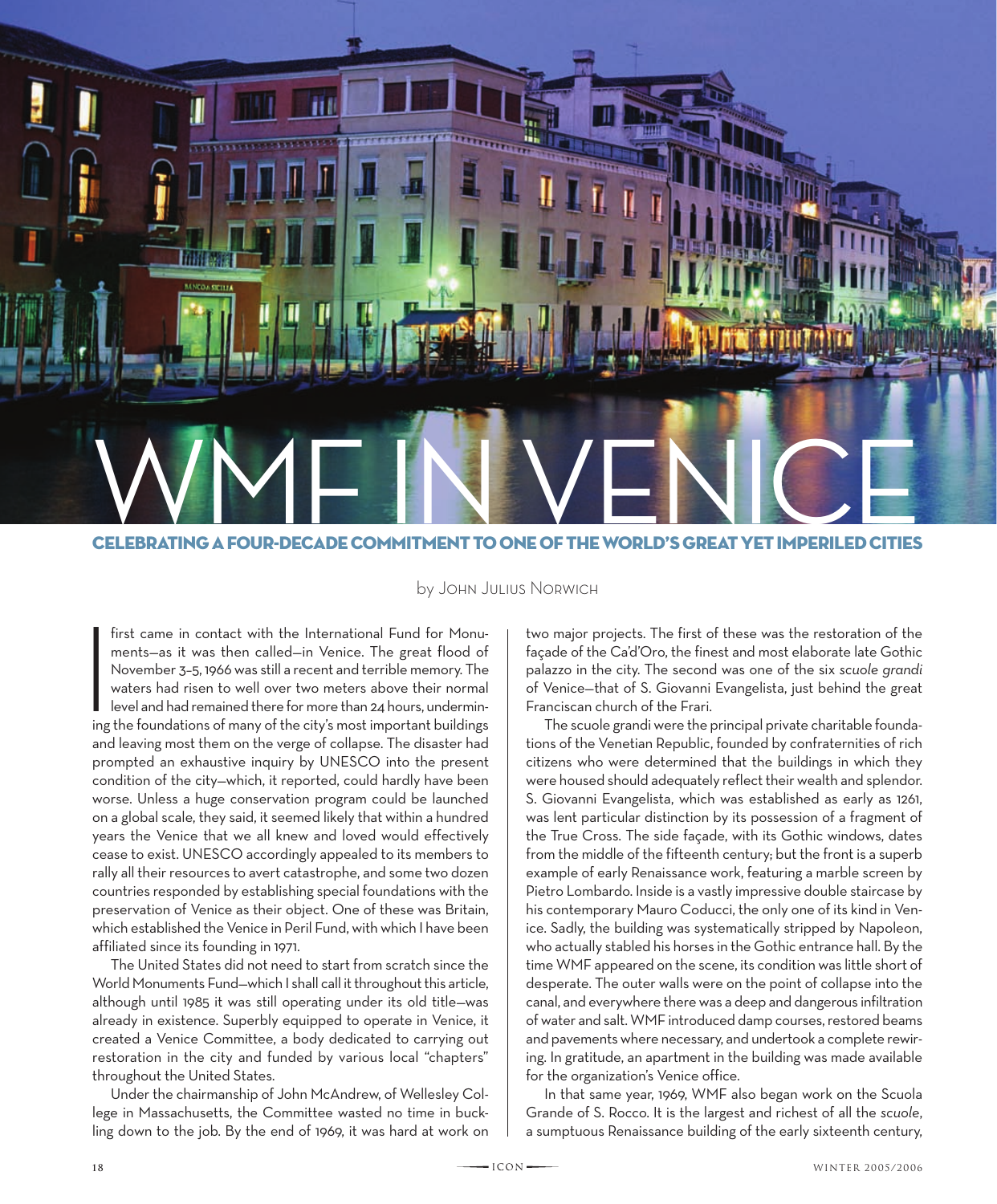

by John Julius Norwich

If im<br>
Im<br>
IM<br>
Wiki<br>
Ing th<br>
ing th first came in contact with the International Fund for Monuments—as it was then called—in Venice. The great flood of November 3–5, 1966 was still a recent and terrible memory. The waters had risen to well over two meters above their normal level and had remained there for more than 24 hours, undermining the foundations of many of the city's most important buildings and leaving most them on the verge of collapse. The disaster had prompted an exhaustive inquiry by UNESCO into the present condition of the city—which, it reported, could hardly have been worse. Unless a huge conservation program could be launched on a global scale, they said, it seemed likely that within a hundred years the Venice that we all knew and loved would effectively cease to exist. UNESCO accordingly appealed to its members to rally all their resources to avert catastrophe, and some two dozen countries responded by establishing special foundations with the preservation of Venice as their object. One of these was Britain, which established the Venice in Peril Fund, with which I have been affiliated since its founding in 1971.

The United States did not need to start from scratch since the World Monuments Fund—which I shall call it throughout this article, although until 1985 it was still operating under its old title—was already in existence. Superbly equipped to operate in Venice, it created a Venice Committee, a body dedicated to carrying out restoration in the city and funded by various local "chapters" throughout the United States.

Under the chairmanship of John McAndrew, of Wellesley College in Massachusetts, the Committee wasted no time in buckling down to the job. By the end of 1969, it was hard at work on

two major projects. The first of these was the restoration of the façade of the Ca'd'Oro, the finest and most elaborate late Gothic palazzo in the city. The second was one of the six *scuole grandi* of Venice—that of S. Giovanni Evangelista, just behind the great Franciscan church of the Frari.

The scuole grandi were the principal private charitable foundations of the Venetian Republic, founded by confraternities of rich citizens who were determined that the buildings in which they were housed should adequately reflect their wealth and splendor. S. Giovanni Evangelista, which was established as early as 1261, was lent particular distinction by its possession of a fragment of the True Cross. The side façade, with its Gothic windows, dates from the middle of the fifteenth century; but the front is a superb example of early Renaissance work, featuring a marble screen by Pietro Lombardo. Inside is a vastly impressive double staircase by his contemporary Mauro Coducci, the only one of its kind in Venice. Sadly, the building was systematically stripped by Napoleon, who actually stabled his horses in the Gothic entrance hall. By the time WMF appeared on the scene, its condition was little short of desperate. The outer walls were on the point of collapse into the canal, and everywhere there was a deep and dangerous infiltration of water and salt. WMF introduced damp courses, restored beams and pavements where necessary, and undertook a complete rewiring. In gratitude, an apartment in the building was made available for the organization's Venice office.

In that same year, 1969, WMF also began work on the Scuola Grande of S. Rocco. It is the largest and richest of all the *scuole*, a sumptuous Renaissance building of the early sixteenth century,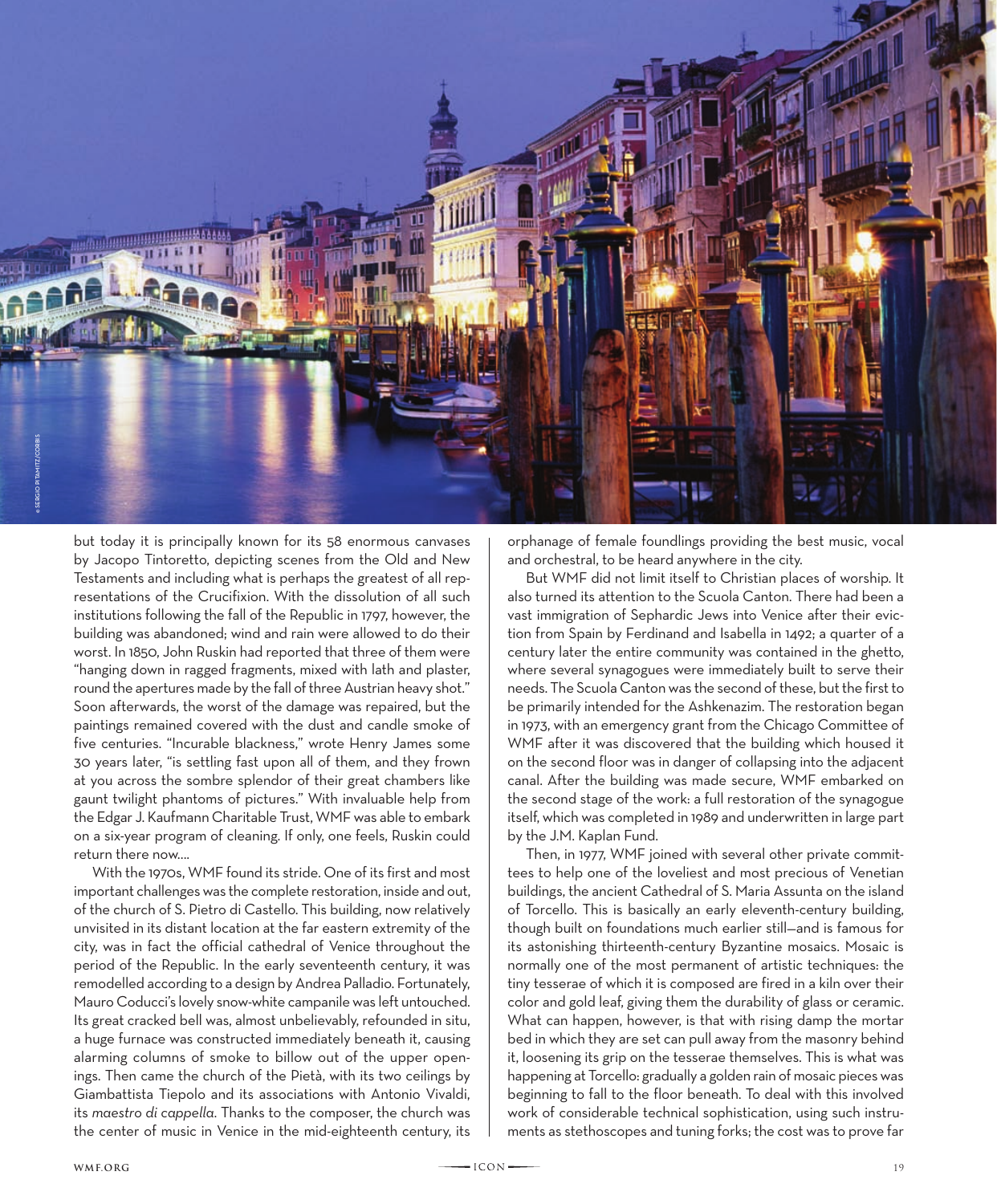

but today it is principally known for its 58 enormous canvases by Jacopo Tintoretto, depicting scenes from the Old and New Testaments and including what is perhaps the greatest of all representations of the Crucifixion. With the dissolution of all such institutions following the fall of the Republic in 1797, however, the building was abandoned; wind and rain were allowed to do their worst. In 1850, John Ruskin had reported that three of them were "hanging down in ragged fragments, mixed with lath and plaster, round the apertures made by the fall of three Austrian heavy shot." Soon afterwards, the worst of the damage was repaired, but the paintings remained covered with the dust and candle smoke of five centuries. "Incurable blackness," wrote Henry James some 30 years later, "is settling fast upon all of them, and they frown at you across the sombre splendor of their great chambers like gaunt twilight phantoms of pictures." With invaluable help from the Edgar J. Kaufmann Charitable Trust, WMF was able to embark on a six-year program of cleaning. If only, one feels, Ruskin could return there now….

With the 1970s, WMF found its stride. One of its first and most important challenges was the complete restoration, inside and out, of the church of S. Pietro di Castello. This building, now relatively unvisited in its distant location at the far eastern extremity of the city, was in fact the official cathedral of Venice throughout the period of the Republic. In the early seventeenth century, it was remodelled according to a design by Andrea Palladio. Fortunately, Mauro Coducci's lovely snow-white campanile was left untouched. Its great cracked bell was, almost unbelievably, refounded in situ, a huge furnace was constructed immediately beneath it, causing alarming columns of smoke to billow out of the upper openings. Then came the church of the Pietà, with its two ceilings by Giambattista Tiepolo and its associations with Antonio Vivaldi, its *maestro di cappella*. Thanks to the composer, the church was the center of music in Venice in the mid-eighteenth century, its orphanage of female foundlings providing the best music, vocal and orchestral, to be heard anywhere in the city.

But WMF did not limit itself to Christian places of worship. It also turned its attention to the Scuola Canton. There had been a vast immigration of Sephardic Jews into Venice after their eviction from Spain by Ferdinand and Isabella in 1492; a quarter of a century later the entire community was contained in the ghetto, where several synagogues were immediately built to serve their needs. The Scuola Canton was the second of these, but the first to be primarily intended for the Ashkenazim. The restoration began in 1973, with an emergency grant from the Chicago Committee of WMF after it was discovered that the building which housed it on the second floor was in danger of collapsing into the adjacent canal. After the building was made secure, WMF embarked on the second stage of the work: a full restoration of the synagogue itself, which was completed in 1989 and underwritten in large part by the J.M. Kaplan Fund.

Then, in 1977, WMF joined with several other private committees to help one of the loveliest and most precious of Venetian buildings, the ancient Cathedral of S. Maria Assunta on the island of Torcello. This is basically an early eleventh-century building, though built on foundations much earlier still—and is famous for its astonishing thirteenth-century Byzantine mosaics. Mosaic is normally one of the most permanent of artistic techniques: the tiny tesserae of which it is composed are fired in a kiln over their color and gold leaf, giving them the durability of glass or ceramic. What can happen, however, is that with rising damp the mortar bed in which they are set can pull away from the masonry behind it, loosening its grip on the tesserae themselves. This is what was happening at Torcello: gradually a golden rain of mosaic pieces was beginning to fall to the floor beneath. To deal with this involved work of considerable technical sophistication, using such instruments as stethoscopes and tuning forks; the cost was to prove far